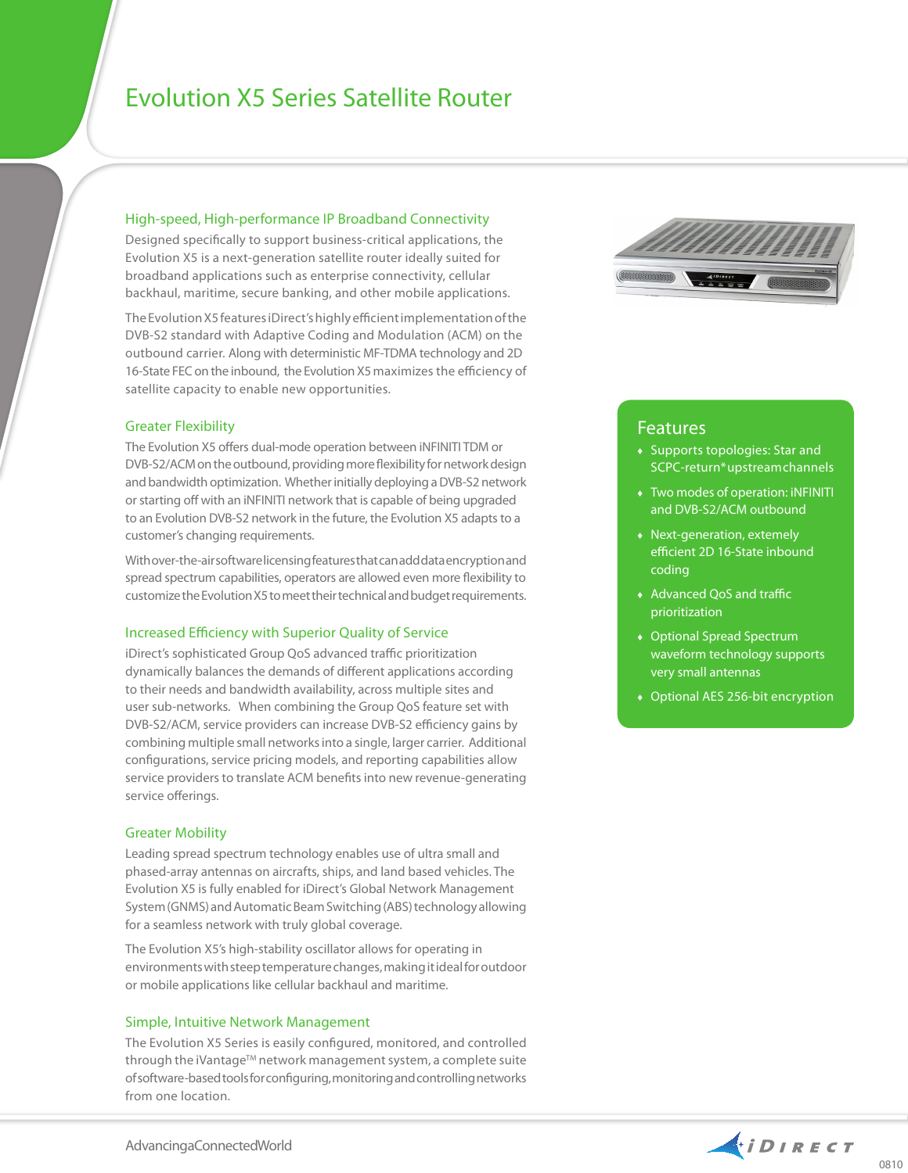# Evolution X5 Series Satellite Router

### High-speed, High-performance IP Broadband Connectivity

Designed specifically to support business-critical applications, the Evolution X5 is a next-generation satellite router ideally suited for broadband applications such as enterprise connectivity, cellular backhaul, maritime, secure banking, and other mobile applications.

The Evolution X5 features iDirect's highly efficient implementation of the DVB-S2 standard with Adaptive Coding and Modulation (ACM) on the outbound carrier. Along with deterministic MF-TDMA technology and 2D 16-State FEC on the inbound, the Evolution X5 maximizes the efficiency of satellite capacity to enable new opportunities.

#### Greater Flexibility

The Evolution X5 offers dual-mode operation between iNFINITI TDM or DVB-S2/ACM on the outbound, providing more flexibility for network design and bandwidth optimization. Whether initially deploying a DVB-S2 network or starting off with an iNFINITI network that is capable of being upgraded to an Evolution DVB-S2 network in the future, the Evolution X5 adapts to a customer's changing requirements.

With over-the-air software licensing features that can add data encryption and spread spectrum capabilities, operators are allowed even more flexibility to customize the Evolution X5 to meet their technical and budget requirements.

#### Increased Efficiency with Superior Quality of Service

iDirect's sophisticated Group QoS advanced traffic prioritization dynamically balances the demands of different applications according to their needs and bandwidth availability, across multiple sites and user sub-networks. When combining the Group QoS feature set with DVB-S2/ACM, service providers can increase DVB-S2 efficiency gains by combining multiple small networks into a single, larger carrier. Additional configurations, service pricing models, and reporting capabilities allow service providers to translate ACM benefits into new revenue-generating service offerings.

#### Greater Mobility

Leading spread spectrum technology enables use of ultra small and phased-array antennas on aircrafts, ships, and land based vehicles. The Evolution X5 is fully enabled for iDirect's Global Network Management System (GNMS) and Automatic Beam Switching (ABS) technology allowing for a seamless network with truly global coverage.

The Evolution X5's high-stability oscillator allows for operating in environments with steep temperature changes, making it ideal for outdoor or mobile applications like cellular backhaul and maritime.

#### Simple, Intuitive Network Management

The Evolution X5 Series is easily configured, monitored, and controlled through the iVantage™ network management system, a complete suite of software-based tools for configuring, monitoring and controlling networks from one location.



## Features

- ♦ Supports topologies: Star and SCPC-return\* upstream channels
- ♦ Two modes of operation: iNFINITI and DVB-S2/ACM outbound
- ♦ Next-generation, extemely efficient 2D 16-State inbound coding
- ♦ Advanced QoS and traffic prioritization
- ♦ Optional Spread Spectrum waveform technology supports very small antennas
- ♦ Optional AES 256-bit encryption